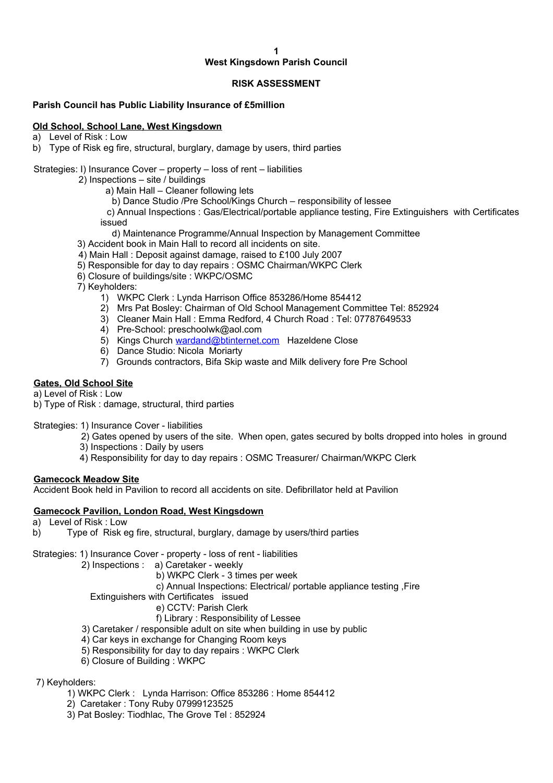#### **1**

# **West Kingsdown Parish Council**

#### **RISK ASSESSMENT**

#### **Parish Council has Public Liability Insurance of £5million**

#### **Old School, School Lane, West Kingsdown**

a) Level of Risk : Low

b) Type of Risk eg fire, structural, burglary, damage by users, third parties

#### Strategies: I) Insurance Cover – property – loss of rent – liabilities

2) Inspections – site / buildings

- a) Main Hall Cleaner following lets
- b) Dance Studio /Pre School/Kings Church responsibility of lessee

 c) Annual Inspections : Gas/Electrical/portable appliance testing, Fire Extinguishers with Certificates issued

- d) Maintenance Programme/Annual Inspection by Management Committee
- 3) Accident book in Main Hall to record all incidents on site.
- 4) Main Hall : Deposit against damage, raised to £100 July 2007
- 5) Responsible for day to day repairs : OSMC Chairman/WKPC Clerk
- 6) Closure of buildings/site : WKPC/OSMC

7) Keyholders:

- 1) WKPC Clerk : Lynda Harrison Office 853286/Home 854412
- 2) Mrs Pat Bosley: Chairman of Old School Management Committee Tel: 852924
- 3) Cleaner Main Hall : Emma Redford, 4 Church Road : Tel: 07787649533
- 4) Pre-School: preschoolwk@aol.com
- 5) Kings Church [wardand@btinternet.com](mailto:wardand@btinternet.com) Hazeldene Close
- 6) Dance Studio: Nicola Moriarty
- 7) Grounds contractors, Bifa Skip waste and Milk delivery fore Pre School

## **Gates, Old School Site**

a) Level of Risk : Low

b) Type of Risk : damage, structural, third parties

Strategies: 1) Insurance Cover - liabilities

- 2) Gates opened by users of the site. When open, gates secured by bolts dropped into holes in ground
- 3) Inspections : Daily by users
- 4) Responsibility for day to day repairs : OSMC Treasurer/ Chairman/WKPC Clerk

#### **Gamecock Meadow Site**

Accident Book held in Pavilion to record all accidents on site. Defibrillator held at Pavilion

## **Gamecock Pavilion, London Road, West Kingsdown**

- a) Level of Risk : Low
- b) Type of Risk eg fire, structural, burglary, damage by users/third parties

Strategies: 1) Insurance Cover - property - loss of rent - liabilities

- 2) Inspections : a) Caretaker weekly
	- b) WKPC Clerk 3 times per week
	- c) Annual Inspections: Electrical/ portable appliance testing ,Fire

Extinguishers with Certificates issued

- e) CCTV: Parish Clerk
- f) Library : Responsibility of Lessee
- 3) Caretaker / responsible adult on site when building in use by public
- 4) Car keys in exchange for Changing Room keys
- 5) Responsibility for day to day repairs : WKPC Clerk
- 6) Closure of Building : WKPC

7) Keyholders:

- 1) WKPC Clerk : Lynda Harrison: Office 853286 : Home 854412
- 2) Caretaker : Tony Ruby 07999123525
- 3) Pat Bosley: Tiodhlac, The Grove Tel : 852924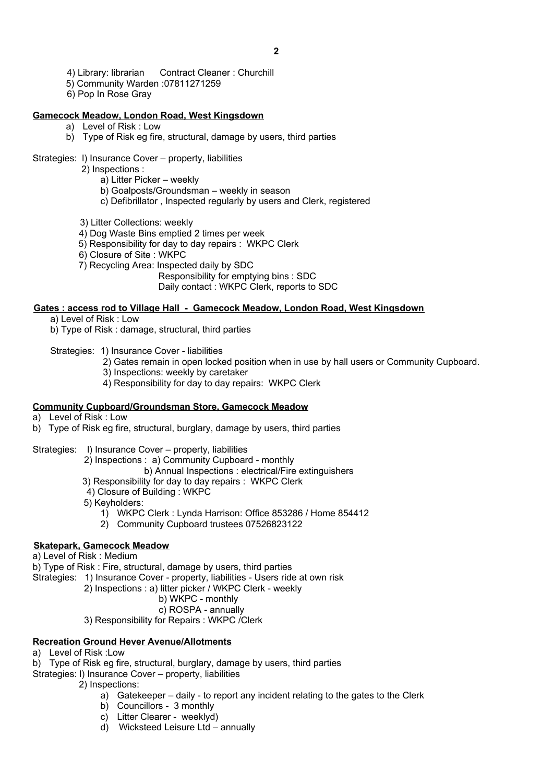- 4) Library: librarian Contract Cleaner : Churchill
- 5) Community Warden :07811271259
- 6) Pop In Rose Gray

#### **Gamecock Meadow, London Road, West Kingsdown**

- a) Level of Risk : Low
- b) Type of Risk eg fire, structural, damage by users, third parties

## Strategies: l) Insurance Cover – property, liabilities

2) Inspections :

- a) Litter Picker weekly
- b) Goalposts/Groundsman weekly in season
- c) Defibrillator , Inspected regularly by users and Clerk, registered

3) Litter Collections: weekly

- 4) Dog Waste Bins emptied 2 times per week
- 5) Responsibility for day to day repairs : WKPC Clerk
- 6) Closure of Site : WKPC
- 7) Recycling Area: Inspected daily by SDC

Responsibility for emptying bins : SDC

Daily contact : WKPC Clerk, reports to SDC

#### **Gates : access rod to Village Hall - Gamecock Meadow, London Road, West Kingsdown**

a) Level of Risk : Low

b) Type of Risk : damage, structural, third parties

Strategies: 1) Insurance Cover - liabilities

- 2) Gates remain in open locked position when in use by hall users or Community Cupboard.
- 3) Inspections: weekly by caretaker
- 4) Responsibility for day to day repairs: WKPC Clerk

## **Community Cupboard/Groundsman Store, Gamecock Meadow**

- a) Level of Risk : Low
- b) Type of Risk eg fire, structural, burglary, damage by users, third parties
- Strategies: l) Insurance Cover property, liabilities
	- 2) Inspections : a) Community Cupboard monthly
		- b) Annual Inspections : electrical/Fire extinguishers
		- 3) Responsibility for day to day repairs : WKPC Clerk
		- 4) Closure of Building : WKPC
		- 5) Keyholders:
			- 1) WKPC Clerk : Lynda Harrison: Office 853286 / Home 854412
			- 2) Community Cupboard trustees 07526823122

## **Skatepark, Gamecock Meadow**

a) Level of Risk : Medium

b) Type of Risk : Fire, structural, damage by users, third parties

Strategies: 1) Insurance Cover - property, liabilities - Users ride at own risk

2) Inspections : a) litter picker / WKPC Clerk - weekly

# b) WKPC - monthly

- c) ROSPA annually
- 3) Responsibility for Repairs : WKPC /Clerk

## **Recreation Ground Hever Avenue/Allotments**

- a) Level of Risk :Low
- b) Type of Risk eg fire, structural, burglary, damage by users, third parties
- Strategies: l) Insurance Cover property, liabilities

2) Inspections:

- a) Gatekeeper daily to report any incident relating to the gates to the Clerk
- b) Councillors 3 monthly
- c) Litter Clearer weeklyd)
- d) Wicksteed Leisure Ltd annually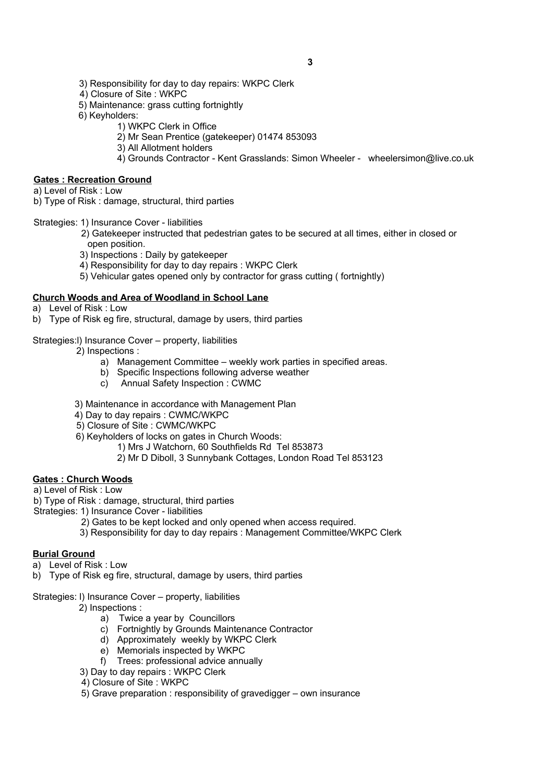- 3) Responsibility for day to day repairs: WKPC Clerk
- 4) Closure of Site : WKPC
- 5) Maintenance: grass cutting fortnightly
- 6) Keyholders:
	- 1) WKPC Clerk in Office
		- 2) Mr Sean Prentice (gatekeeper) 01474 853093
		- 3) All Allotment holders
		- 4) Grounds Contractor Kent Grasslands: Simon Wheeler wheelersimon@live.co.uk

# **Gates : Recreation Ground**

a) Level of Risk : Low

b) Type of Risk : damage, structural, third parties

- Strategies: 1) Insurance Cover liabilities
	- 2) Gatekeeper instructed that pedestrian gates to be secured at all times, either in closed or open position.
	- 3) Inspections : Daily by gatekeeper
	- 4) Responsibility for day to day repairs : WKPC Clerk
	- 5) Vehicular gates opened only by contractor for grass cutting ( fortnightly)

## **Church Woods and Area of Woodland in School Lane**

- a) Level of Risk : Low
- b) Type of Risk eg fire, structural, damage by users, third parties

#### Strategies:l) Insurance Cover – property, liabilities

- 2) Inspections :
	- a) Management Committee weekly work parties in specified areas.
	- b) Specific Inspections following adverse weather
	- c) Annual Safety Inspection : CWMC
- 3) Maintenance in accordance with Management Plan
- 4) Day to day repairs : CWMC/WKPC
- 5) Closure of Site : CWMC/WKPC
- 6) Keyholders of locks on gates in Church Woods:

1) Mrs J Watchorn, 60 Southfields Rd Tel 853873

2) Mr D Diboll, 3 Sunnybank Cottages, London Road Tel 853123

## **Gates : Church Woods**

a) Level of Risk : Low

b) Type of Risk : damage, structural, third parties

- Strategies: 1) Insurance Cover liabilities
	- 2) Gates to be kept locked and only opened when access required.
	- 3) Responsibility for day to day repairs : Management Committee/WKPC Clerk

## **Burial Ground**

- a) Level of Risk : Low
- b) Type of Risk eg fire, structural, damage by users, third parties
- Strategies: l) Insurance Cover property, liabilities

2) Inspections :

- a) Twice a year by Councillors
- c) Fortnightly by Grounds Maintenance Contractor
- d) Approximately weekly by WKPC Clerk
- e) Memorials inspected by WKPC
- f) Trees: professional advice annually
- 3) Day to day repairs : WKPC Clerk
- 4) Closure of Site : WKPC
- 5) Grave preparation : responsibility of gravedigger own insurance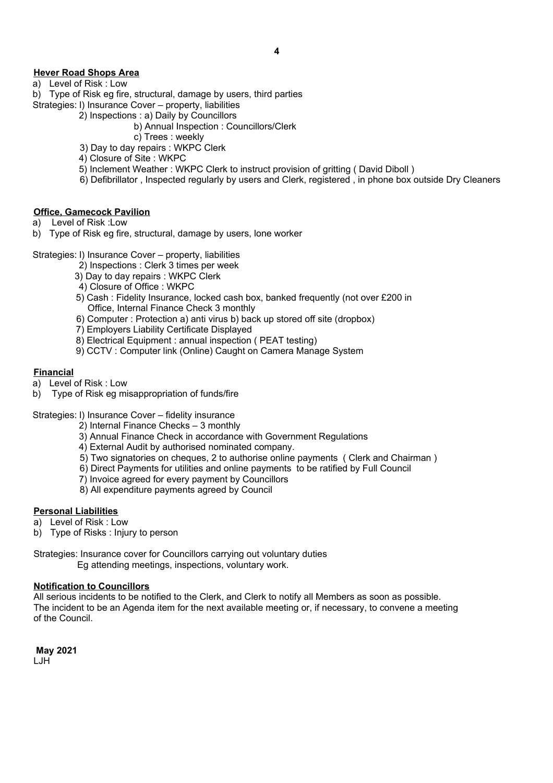# **Hever Road Shops Area**

- a) Level of Risk : Low
- b) Type of Risk eg fire, structural, damage by users, third parties
- Strategies: l) Insurance Cover property, liabilities
	- 2) Inspections : a) Daily by Councillors
		- b) Annual Inspection : Councillors/Clerk
		- c) Trees : weekly
	- 3) Day to day repairs : WKPC Clerk
	- 4) Closure of Site : WKPC
	- 5) Inclement Weather : WKPC Clerk to instruct provision of gritting ( David Diboll )
	- 6) Defibrillator , Inspected regularly by users and Clerk, registered , in phone box outside Dry Cleaners

# **Office, Gamecock Pavilion**

- a) Level of Risk :Low
- b) Type of Risk eg fire, structural, damage by users, lone worker
- Strategies: l) Insurance Cover property, liabilities
	- 2) Inspections : Clerk 3 times per week
	- 3) Day to day repairs : WKPC Clerk
	- 4) Closure of Office : WKPC
	- 5) Cash : Fidelity Insurance, locked cash box, banked frequently (not over £200 in Office, Internal Finance Check 3 monthly
	- 6) Computer : Protection a) anti virus b) back up stored off site (dropbox)
	- 7) Employers Liability Certificate Displayed
	- 8) Electrical Equipment : annual inspection ( PEAT testing)
	- 9) CCTV : Computer link (Online) Caught on Camera Manage System

## **Financial**

- a) Level of Risk : Low
- b) Type of Risk eg misappropriation of funds/fire

Strategies: l) Insurance Cover – fidelity insurance

- 2) Internal Finance Checks 3 monthly
- 3) Annual Finance Check in accordance with Government Regulations
- 4) External Audit by authorised nominated company.
- 5) Two signatories on cheques, 2 to authorise online payments ( Clerk and Chairman )
- 6) Direct Payments for utilities and online payments to be ratified by Full Council
- 7) Invoice agreed for every payment by Councillors
- 8) All expenditure payments agreed by Council

## **Personal Liabilities**

- a) Level of Risk : Low
- b) Type of Risks : Injury to person
- Strategies: Insurance cover for Councillors carrying out voluntary duties Eg attending meetings, inspections, voluntary work.

## **Notification to Councillors**

All serious incidents to be notified to the Clerk, and Clerk to notify all Members as soon as possible. The incident to be an Agenda item for the next available meeting or, if necessary, to convene a meeting of the Council.

 **May 2021**  LJH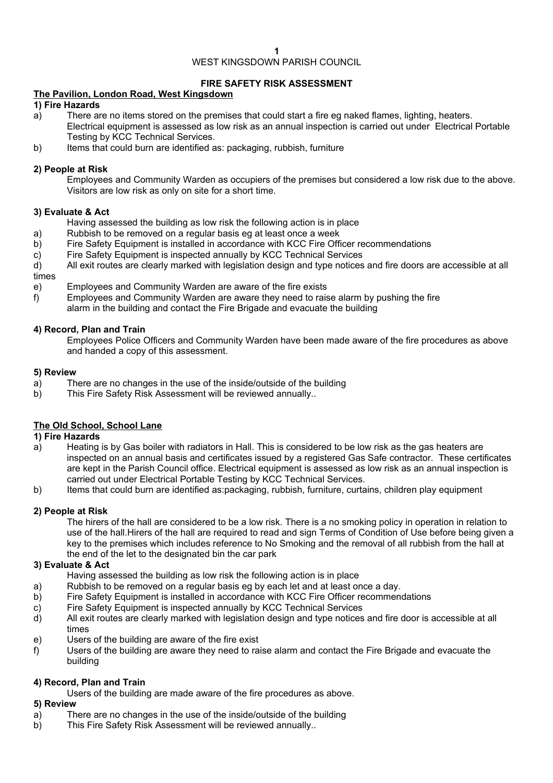# WEST KINGSDOWN PARISH COUNCIL

# **FIRE SAFETY RISK ASSESSMENT**

# **The Pavilion, London Road, West Kingsdown**

#### **1) Fire Hazards**

- a) There are no items stored on the premises that could start a fire eg naked flames, lighting, heaters. Electrical equipment is assessed as low risk as an annual inspection is carried out under Electrical Portable Testing by KCC Technical Services.
- b) Items that could burn are identified as: packaging, rubbish, furniture

#### **2) People at Risk**

Employees and Community Warden as occupiers of the premises but considered a low risk due to the above. Visitors are low risk as only on site for a short time.

#### **3) Evaluate & Act**

- Having assessed the building as low risk the following action is in place
- a) Rubbish to be removed on a regular basis eg at least once a week
- b) Fire Safety Equipment is installed in accordance with KCC Fire Officer recommendations
- c) Fire Safety Equipment is inspected annually by KCC Technical Services
- d) All exit routes are clearly marked with legislation design and type notices and fire doors are accessible at all times
- e) Employees and Community Warden are aware of the fire exists
- f) Employees and Community Warden are aware they need to raise alarm by pushing the fire
	- alarm in the building and contact the Fire Brigade and evacuate the building

#### **4) Record, Plan and Train**

Employees Police Officers and Community Warden have been made aware of the fire procedures as above and handed a copy of this assessment.

#### **5) Review**

- a) There are no changes in the use of the inside/outside of the building
- b) This Fire Safety Risk Assessment will be reviewed annually..

## **The Old School, School Lane**

#### **1) Fire Hazards**

- a) Heating is by Gas boiler with radiators in Hall. This is considered to be low risk as the gas heaters are inspected on an annual basis and certificates issued by a registered Gas Safe contractor. These certificates are kept in the Parish Council office. Electrical equipment is assessed as low risk as an annual inspection is carried out under Electrical Portable Testing by KCC Technical Services.
- b) Items that could burn are identified as:packaging, rubbish, furniture, curtains, children play equipment

## **2) People at Risk**

The hirers of the hall are considered to be a low risk. There is a no smoking policy in operation in relation to use of the hall.Hirers of the hall are required to read and sign Terms of Condition of Use before being given a key to the premises which includes reference to No Smoking and the removal of all rubbish from the hall at the end of the let to the designated bin the car park

## **3) Evaluate & Act**

Having assessed the building as low risk the following action is in place

- a) Rubbish to be removed on a regular basis eg by each let and at least once a day.
- b) Fire Safety Equipment is installed in accordance with KCC Fire Officer recommendations
- c) Fire Safety Equipment is inspected annually by KCC Technical Services
- d) All exit routes are clearly marked with legislation design and type notices and fire door is accessible at all times
- e) Users of the building are aware of the fire exist
- f) Users of the building are aware they need to raise alarm and contact the Fire Brigade and evacuate the building

## **4) Record, Plan and Train**

Users of the building are made aware of the fire procedures as above.

#### **5) Review**

- a) There are no changes in the use of the inside/outside of the building
- b) This Fire Safety Risk Assessment will be reviewed annually..